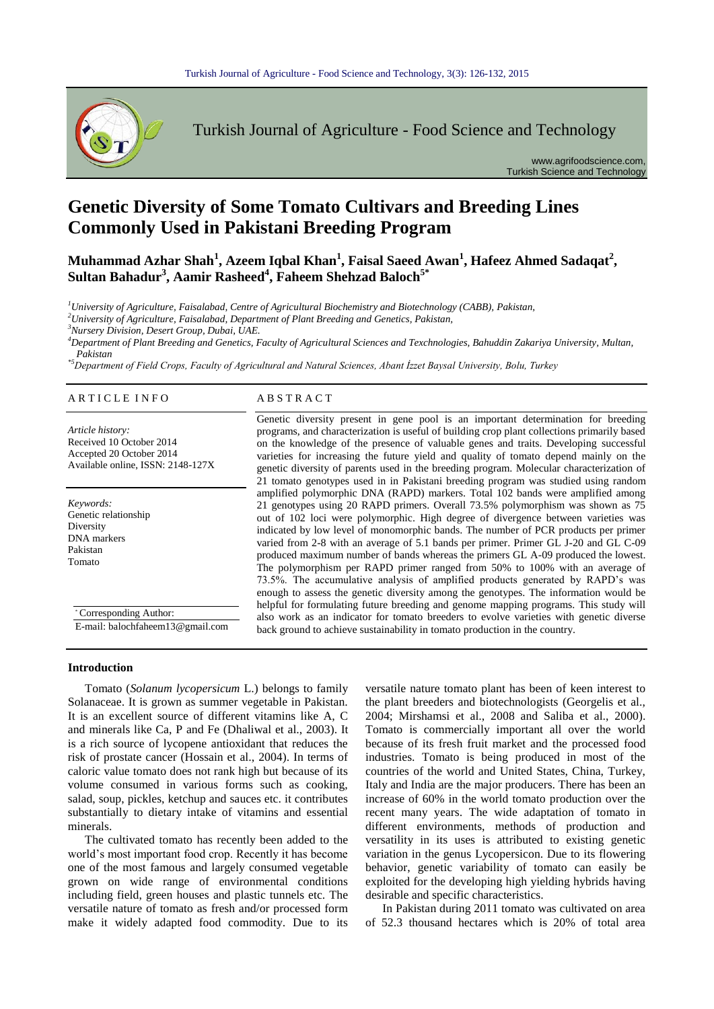

Turkish Journal of Agriculture - Food Science and Technology

www.agrifoodscience.com, Turkish Science and Technology

# **Genetic Diversity of Some Tomato Cultivars and Breeding Lines Commonly Used in Pakistani Breeding Program**

**Muhammad Azhar Shah<sup>1</sup> , Azeem Iqbal Khan<sup>1</sup> , Faisal Saeed Awan<sup>1</sup> , Hafeez Ahmed Sadaqat<sup>2</sup> , Sultan Bahadur<sup>3</sup> , Aamir Rasheed<sup>4</sup> , Faheem Shehzad Baloch5\***

*<sup>1</sup>University of Agriculture, Faisalabad, Centre of Agricultural Biochemistry and Biotechnology (CABB), Pakistan,*

*<sup>2</sup>University of Agriculture, Faisalabad, Department of Plant Breeding and Genetics, Pakistan,*

*<sup>3</sup>Nursery Division, Desert Group, Dubai, UAE.*

*<sup>4</sup>Department of Plant Breeding and Genetics, Faculty of Agricultural Sciences and Texchnologies, Bahuddin Zakariya University, Multan, Pakistan*

*\*5Department of Field Crops, Faculty of Agricultural and Natural Sciences, Abant İzzet Baysal University, Bolu, Turkey*

#### A R T I C L E I N F O A B S T R A C T

*Article history:* Received 10 October 2014 Accepted 20 October 2014 Available online, ISSN: 2148-127X

*Keywords:* Genetic relationship Diversity DNA markers Pakistan Tomato

\* Corresponding Author: E-mail: balochfaheem13@gmail.com

Genetic diversity present in gene pool is an important determination for breeding programs, and characterization is useful of building crop plant collections primarily based on the knowledge of the presence of valuable genes and traits. Developing successful varieties for increasing the future yield and quality of tomato depend mainly on the genetic diversity of parents used in the breeding program. Molecular characterization of 21 tomato genotypes used in in Pakistani breeding program was studied using random amplified polymorphic DNA (RAPD) markers. Total 102 bands were amplified among 21 genotypes using 20 RAPD primers. Overall 73.5% polymorphism was shown as 75 out of 102 loci were polymorphic. High degree of divergence between varieties was indicated by low level of monomorphic bands. The number of PCR products per primer varied from 2-8 with an average of 5.1 bands per primer. Primer GL J-20 and GL C-09 produced maximum number of bands whereas the primers GL A-09 produced the lowest. The polymorphism per RAPD primer ranged from 50% to 100% with an average of 73.5%. The accumulative analysis of amplified products generated by RAPD's was enough to assess the genetic diversity among the genotypes. The information would be helpful for formulating future breeding and genome mapping programs. This study will also work as an indicator for tomato breeders to evolve varieties with genetic diverse back ground to achieve sustainability in tomato production in the country.

#### **Introduction**

Tomato (Solanum lycopersicum L.) belongs to family Solanaceae. It is grown as summer vegetable in Pakistan. It is an excellent source of different vitamins like A, C and minerals like Ca, P and Fe (Dhaliwal et al., 2003). It is a rich source of lycopene antioxidant that reduces the risk of prostate cancer (Hossain et al., 2004). In terms of caloric value tomato does not rank high but because of its volume consumed in various forms such as cooking, salad, soup, pickles, ketchup and sauces etc. it contributes substantially to dietary intake of vitamins and essential minerals.  $\frac{1}{2}$  and  $\frac{1}{2}$ 

The cultivated tomato has recently been added to the world's most important food crop. Recently it has become one of the most famous and largely consumed vegetable grown on wide range of environmental conditions including field, green houses and plastic tunnels etc. The versatile nature of tomato as fresh and/or processed form make it widely adapted food commodity. Due to its versatile nature tomato plant has been of keen interest to the plant breeders and biotechnologists (Georgelis et al., 2004; Mirshamsi et al., 2008 and Saliba et al., 2000). Tomato is commercially important all over the world because of its fresh fruit market and the processed food industries. Tomato is being produced in most of the countries of the world and United States, China, Turkey, Italy and India are the major producers. There has been an increase of 60% in the world tomato production over the recent many years. The wide adaptation of tomato in different environments, methods of production and versatility in its uses is attributed to existing genetic variation in the genus Lycopersicon. Due to its flowering behavior, genetic variability of tomato can easily be exploited for the developing high yielding hybrids having desirable and specific characteristics.

In Pakistan during 2011 tomato was cultivated on area of 52.3 thousand hectares which is 20% of total area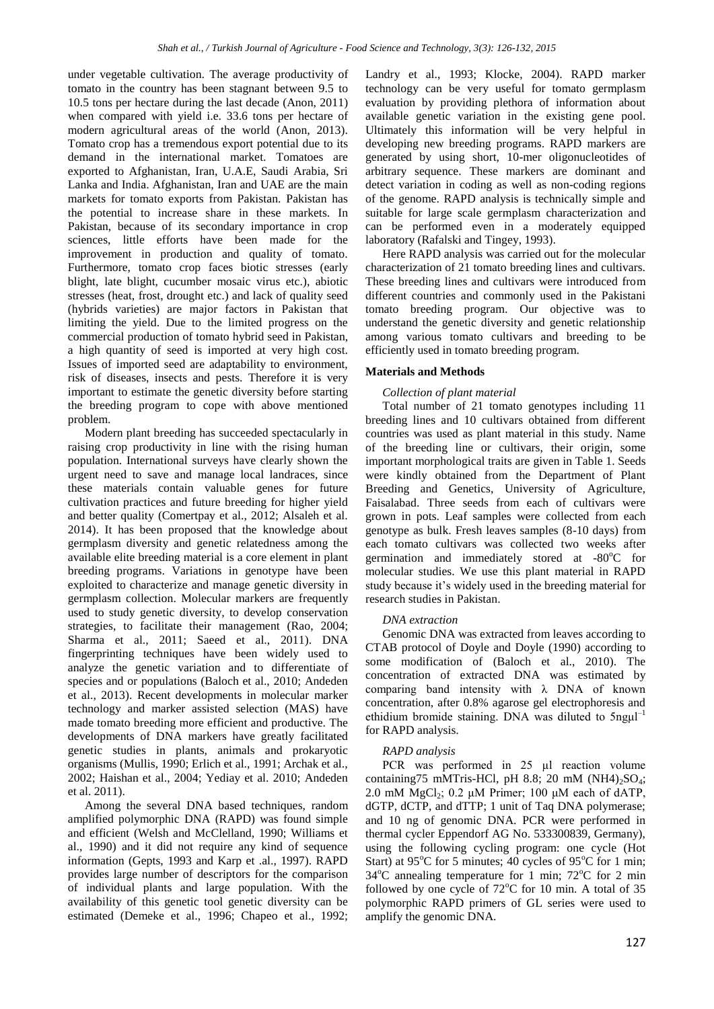under vegetable cultivation. The average productivity of tomato in the country has been stagnant between 9.5 to 10.5 tons per hectare during the last decade (Anon, 2011) when compared with yield i.e. 33.6 tons per hectare of modern agricultural areas of the world (Anon, 2013). Tomato crop has a tremendous export potential due to its demand in the international market. Tomatoes are exported to Afghanistan, Iran, U.A.E, Saudi Arabia, Sri Lanka and India. Afghanistan, Iran and UAE are the main markets for tomato exports from Pakistan. Pakistan has the potential to increase share in these markets. In Pakistan, because of its secondary importance in crop sciences, little efforts have been made for the improvement in production and quality of tomato. Furthermore, tomato crop faces biotic stresses (early blight, late blight, cucumber mosaic virus etc.), abiotic stresses (heat, frost, drought etc.) and lack of quality seed (hybrids varieties) are major factors in Pakistan that limiting the yield. Due to the limited progress on the commercial production of tomato hybrid seed in Pakistan, a high quantity of seed is imported at very high cost. Issues of imported seed are adaptability to environment, risk of diseases, insects and pests. Therefore it is very important to estimate the genetic diversity before starting the breeding program to cope with above mentioned problem.

Modern plant breeding has succeeded spectacularly in raising crop productivity in line with the rising human population. International surveys have clearly shown the urgent need to save and manage local landraces, since these materials contain valuable genes for future cultivation practices and future breeding for higher yield and better quality (Comertpay et al., 2012; Alsaleh et al. 2014). It has been proposed that the knowledge about germplasm diversity and genetic relatedness among the available elite breeding material is a core element in plant breeding programs. Variations in genotype have been exploited to characterize and manage genetic diversity in germplasm collection. Molecular markers are frequently used to study genetic diversity, to develop conservation strategies, to facilitate their management (Rao, 2004; Sharma et al., 2011; Saeed et al., 2011). DNA fingerprinting techniques have been widely used to analyze the genetic variation and to differentiate of species and or populations (Baloch et al., 2010; Andeden et al., 2013). Recent developments in molecular marker technology and marker assisted selection (MAS) have made tomato breeding more efficient and productive. The developments of DNA markers have greatly facilitated genetic studies in plants, animals and prokaryotic organisms (Mullis, 1990; Erlich et al., 1991; Archak et al., 2002; Haishan et al., 2004; Yediay et al. 2010; Andeden et al. 2011).

Among the several DNA based techniques, random amplified polymorphic DNA (RAPD) was found simple and efficient (Welsh and McClelland, 1990; Williams et al., 1990) and it did not require any kind of sequence information (Gepts, 1993 and Karp et .al., 1997). RAPD provides large number of descriptors for the comparison of individual plants and large population. With the availability of this genetic tool genetic diversity can be estimated (Demeke et al., 1996; Chapeo et al., 1992; Landry et al., 1993; Klocke, 2004). RAPD marker technology can be very useful for tomato germplasm evaluation by providing plethora of information about available genetic variation in the existing gene pool. Ultimately this information will be very helpful in developing new breeding programs. RAPD markers are generated by using short, 10-mer oligonucleotides of arbitrary sequence. These markers are dominant and detect variation in coding as well as non-coding regions of the genome. RAPD analysis is technically simple and suitable for large scale germplasm characterization and can be performed even in a moderately equipped laboratory (Rafalski and Tingey, 1993).

Here RAPD analysis was carried out for the molecular characterization of 21 tomato breeding lines and cultivars. These breeding lines and cultivars were introduced from different countries and commonly used in the Pakistani tomato breeding program. Our objective was to understand the genetic diversity and genetic relationship among various tomato cultivars and breeding to be efficiently used in tomato breeding program.

# **Materials and Methods**

# *Collection of plant material*

Total number of 21 tomato genotypes including 11 breeding lines and 10 cultivars obtained from different countries was used as plant material in this study. Name of the breeding line or cultivars, their origin, some important morphological traits are given in Table 1. Seeds were kindly obtained from the Department of Plant Breeding and Genetics, University of Agriculture, Faisalabad. Three seeds from each of cultivars were grown in pots. Leaf samples were collected from each genotype as bulk. Fresh leaves samples (8-10 days) from each tomato cultivars was collected two weeks after germination and immediately stored at  $-80^{\circ}$ C for molecular studies. We use this plant material in RAPD study because it's widely used in the breeding material for research studies in Pakistan.

### *DNA extraction*

Genomic DNA was extracted from leaves according to CTAB protocol of Doyle and Doyle (1990) according to some modification of (Baloch et al., 2010). The concentration of extracted DNA was estimated by comparing band intensity with λ DNA of known concentration, after 0.8% agarose gel electrophoresis and ethidium bromide staining. DNA was diluted to  $5$ ngul<sup>-1</sup> for RAPD analysis.

## *RAPD analysis*

PCR was performed in 25 µl reaction volume containing75 mMTris-HCl, pH 8.8; 20 mM (NH4)<sub>2</sub>SO<sub>4</sub>; 2.0 mM  $MgCl<sub>2</sub>$ ; 0.2 μM Primer; 100 μM each of dATP, dGTP, dCTP, and dTTP; 1 unit of Taq DNA polymerase; and 10 ng of genomic DNA. PCR were performed in thermal cycler Eppendorf AG No. 533300839, Germany), using the following cycling program: one cycle (Hot Start) at 95 $^{\circ}$ C for 5 minutes; 40 cycles of 95 $^{\circ}$ C for 1 min;  $34^{\circ}$ C annealing temperature for 1 min;  $72^{\circ}$ C for 2 min followed by one cycle of  $72^{\circ}$ C for 10 min. A total of 35 polymorphic RAPD primers of GL series were used to amplify the genomic DNA.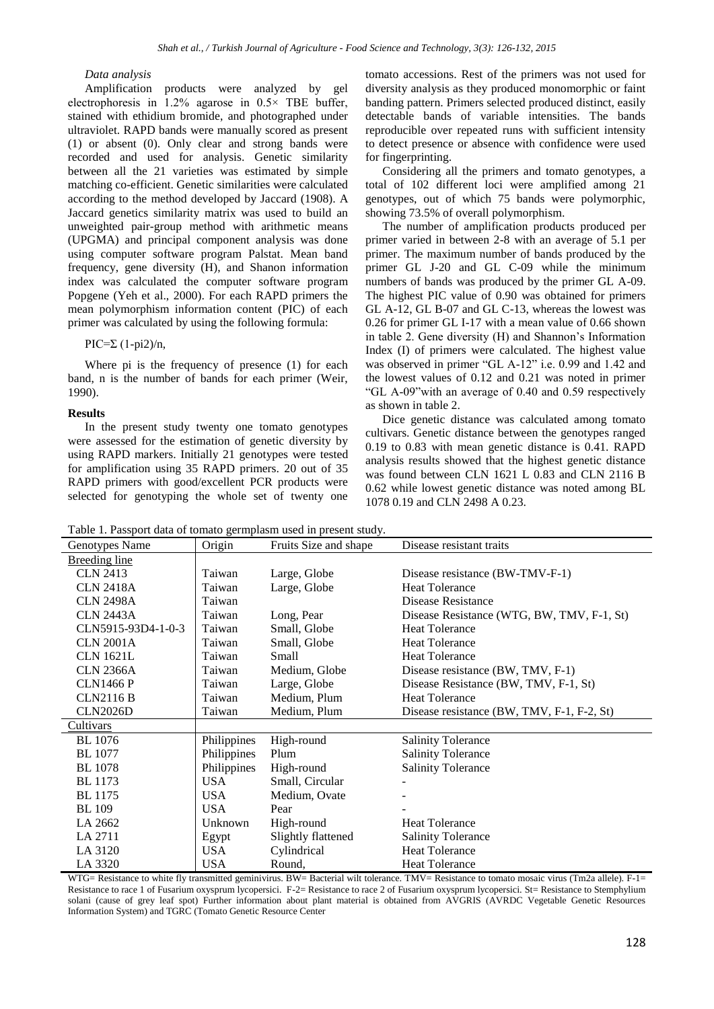# *Data analysis*

Amplification products were analyzed by gel electrophoresis in  $1.2\%$  agarose in  $0.5\times$  TBE buffer, stained with ethidium bromide, and photographed under ultraviolet. RAPD bands were manually scored as present (1) or absent (0). Only clear and strong bands were recorded and used for analysis. Genetic similarity between all the 21 varieties was estimated by simple matching co-efficient. Genetic similarities were calculated according to the method developed by Jaccard (1908). A Jaccard genetics similarity matrix was used to build an unweighted pair-group method with arithmetic means (UPGMA) and principal component analysis was done using computer software program Palstat. Mean band frequency, gene diversity (H), and Shanon information index was calculated the computer software program Popgene (Yeh et al., 2000). For each RAPD primers the mean polymorphism information content (PIC) of each primer was calculated by using the following formula:

PIC= $\Sigma$  (1-pi2)/n,

Where pi is the frequency of presence (1) for each band, n is the number of bands for each primer (Weir, 1990).

# **Results**

In the present study twenty one tomato genotypes were assessed for the estimation of genetic diversity by using RAPD markers. Initially 21 genotypes were tested for amplification using 35 RAPD primers. 20 out of 35 RAPD primers with good/excellent PCR products were selected for genotyping the whole set of twenty one tomato accessions. Rest of the primers was not used for diversity analysis as they produced monomorphic or faint banding pattern. Primers selected produced distinct, easily detectable bands of variable intensities. The bands reproducible over repeated runs with sufficient intensity to detect presence or absence with confidence were used for fingerprinting.

Considering all the primers and tomato genotypes, a total of 102 different loci were amplified among 21 genotypes, out of which 75 bands were polymorphic, showing 73.5% of overall polymorphism.

The number of amplification products produced per primer varied in between 2-8 with an average of 5.1 per primer. The maximum number of bands produced by the primer GL J-20 and GL C-09 while the minimum numbers of bands was produced by the primer GL A-09. The highest PIC value of 0.90 was obtained for primers GL A-12, GL B-07 and GL C-13, whereas the lowest was 0.26 for primer GL I-17 with a mean value of 0.66 shown in table 2. Gene diversity (H) and Shannon's Information Index (I) of primers were calculated. The highest value was observed in primer "GL A-12" i.e. 0.99 and 1.42 and the lowest values of 0.12 and 0.21 was noted in primer "GL A-09"with an average of 0.40 and 0.59 respectively as shown in table 2.

Dice genetic distance was calculated among tomato cultivars. Genetic distance between the genotypes ranged 0.19 to 0.83 with mean genetic distance is 0.41. RAPD analysis results showed that the highest genetic distance was found between CLN 1621 L 0.83 and CLN 2116 B 0.62 while lowest genetic distance was noted among BL 1078 0.19 and CLN 2498 A 0.23.

Table 1. Passport data of tomato germplasm used in present study.

| Genotypes Name       | Origin      | Fruits Size and shape | Disease resistant traits                   |
|----------------------|-------------|-----------------------|--------------------------------------------|
| <b>Breeding line</b> |             |                       |                                            |
| <b>CLN 2413</b>      | Taiwan      | Large, Globe          | Disease resistance (BW-TMV-F-1)            |
| <b>CLN 2418A</b>     | Taiwan      | Large, Globe          | <b>Heat Tolerance</b>                      |
| <b>CLN 2498A</b>     | Taiwan      |                       | Disease Resistance                         |
| <b>CLN 2443A</b>     | Taiwan      | Long, Pear            | Disease Resistance (WTG, BW, TMV, F-1, St) |
| CLN5915-93D4-1-0-3   | Taiwan      | Small, Globe          | <b>Heat Tolerance</b>                      |
| <b>CLN 2001A</b>     | Taiwan      | Small, Globe          | <b>Heat Tolerance</b>                      |
| <b>CLN 1621L</b>     | Taiwan      | Small                 | <b>Heat Tolerance</b>                      |
| <b>CLN 2366A</b>     | Taiwan      | Medium, Globe         | Disease resistance (BW, TMV, F-1)          |
| <b>CLN1466 P</b>     | Taiwan      | Large, Globe          | Disease Resistance (BW, TMV, F-1, St)      |
| <b>CLN2116 B</b>     | Taiwan      | Medium, Plum          | <b>Heat Tolerance</b>                      |
| <b>CLN2026D</b>      | Taiwan      | Medium, Plum          | Disease resistance (BW, TMV, F-1, F-2, St) |
| Cultivars            |             |                       |                                            |
| <b>BL</b> 1076       | Philippines | High-round            | <b>Salinity Tolerance</b>                  |
| <b>BL</b> 1077       | Philippines | Plum                  | <b>Salinity Tolerance</b>                  |
| <b>BL</b> 1078       | Philippines | High-round            | <b>Salinity Tolerance</b>                  |
| <b>BL</b> 1173       | <b>USA</b>  | Small, Circular       |                                            |
| BL 1175              | USA         | Medium, Ovate         |                                            |
| <b>BL</b> 109        | <b>USA</b>  | Pear                  |                                            |
| LA 2662              | Unknown     | High-round            | <b>Heat Tolerance</b>                      |
| LA 2711              | Egypt       | Slightly flattened    | <b>Salinity Tolerance</b>                  |
| LA 3120              | <b>USA</b>  | Cylindrical           | <b>Heat Tolerance</b>                      |
| LA 3320              | <b>USA</b>  | Round,                | <b>Heat Tolerance</b>                      |

WTG= Resistance to white fly transmitted geminivirus. BW= Bacterial wilt tolerance. TMV= Resistance to tomato mosaic virus (Tm2a allele). F-1= Resistance to race 1 of Fusarium oxysprum lycopersici. F-2= Resistance to race 2 of Fusarium oxysprum lycopersici. St= Resistance to Stemphylium solani (cause of grey leaf spot) Further information about plant material is obtained from AVGRIS (AVRDC Vegetable Genetic Resources Information System) and TGRC (Tomato Genetic Resource Center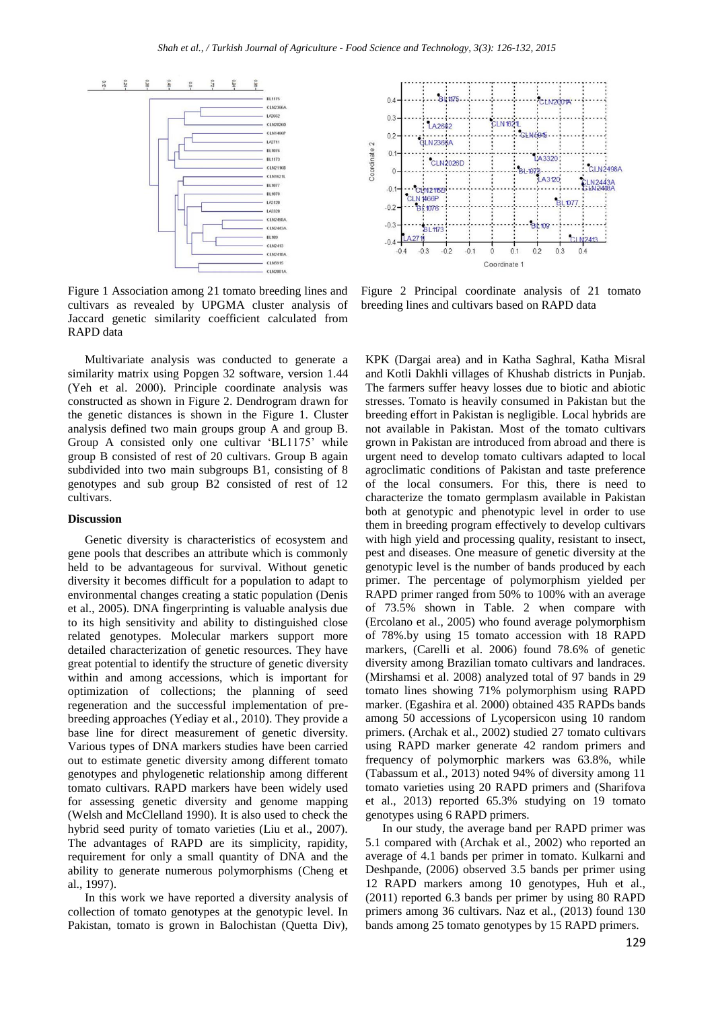

Figure 1 Association among 21 tomato breeding lines and cultivars as revealed by UPGMA cluster analysis of Jaccard genetic similarity coefficient calculated from RAPD data

Multivariate analysis was conducted to generate a similarity matrix using Popgen 32 software, version 1.44 (Yeh et al. 2000). Principle coordinate analysis was constructed as shown in Figure 2. Dendrogram drawn for the genetic distances is shown in the Figure 1. Cluster analysis defined two main groups group A and group B. Group A consisted only one cultivar 'BL1175' while group B consisted of rest of 20 cultivars. Group B again subdivided into two main subgroups B1, consisting of 8 genotypes and sub group B2 consisted of rest of 12 cultivars.

#### **Discussion**

Genetic diversity is characteristics of ecosystem and gene pools that describes an attribute which is commonly held to be advantageous for survival. Without genetic diversity it becomes difficult for a population to adapt to environmental changes creating a static population (Denis et al., 2005). DNA fingerprinting is valuable analysis due to its high sensitivity and ability to distinguished close related genotypes. Molecular markers support more detailed characterization of genetic resources. They have great potential to identify the structure of genetic diversity within and among accessions, which is important for optimization of collections; the planning of seed regeneration and the successful implementation of prebreeding approaches (Yediay et al., 2010). They provide a base line for direct measurement of genetic diversity. Various types of DNA markers studies have been carried out to estimate genetic diversity among different tomato genotypes and phylogenetic relationship among different tomato cultivars. RAPD markers have been widely used for assessing genetic diversity and genome mapping (Welsh and McClelland 1990). It is also used to check the hybrid seed purity of tomato varieties (Liu et al., 2007). The advantages of RAPD are its simplicity, rapidity, requirement for only a small quantity of DNA and the ability to generate numerous polymorphisms (Cheng et al., 1997).

In this work we have reported a diversity analysis of collection of tomato genotypes at the genotypic level. In Pakistan, tomato is grown in Balochistan (Quetta Div),



Figure 2 Principal coordinate analysis of 21 tomato breeding lines and cultivars based on RAPD data

KPK (Dargai area) and in Katha Saghral, Katha Misral and Kotli Dakhli villages of Khushab districts in Punjab. The farmers suffer heavy losses due to biotic and abiotic stresses. Tomato is heavily consumed in Pakistan but the breeding effort in Pakistan is negligible. Local hybrids are not available in Pakistan. Most of the tomato cultivars grown in Pakistan are introduced from abroad and there is urgent need to develop tomato cultivars adapted to local agroclimatic conditions of Pakistan and taste preference of the local consumers. For this, there is need to characterize the tomato germplasm available in Pakistan both at genotypic and phenotypic level in order to use them in breeding program effectively to develop cultivars with high yield and processing quality, resistant to insect, pest and diseases. One measure of genetic diversity at the genotypic level is the number of bands produced by each primer. The percentage of polymorphism yielded per RAPD primer ranged from 50% to 100% with an average of 73.5% shown in Table. 2 when compare with (Ercolano et al., 2005) who found average polymorphism of 78%.by using 15 tomato accession with 18 RAPD markers, (Carelli et al. 2006) found 78.6% of genetic diversity among Brazilian tomato cultivars and landraces. (Mirshamsi et al. 2008) analyzed total of 97 bands in 29 tomato lines showing 71% polymorphism using RAPD marker. (Egashira et al. 2000) obtained 435 RAPDs bands among 50 accessions of Lycopersicon using 10 random primers. (Archak et al., 2002) studied 27 tomato cultivars using RAPD marker generate 42 random primers and frequency of polymorphic markers was 63.8%, while (Tabassum et al., 2013) noted 94% of diversity among 11 tomato varieties using 20 RAPD primers and (Sharifova et al., 2013) reported 65.3% studying on 19 tomato genotypes using 6 RAPD primers.

In our study, the average band per RAPD primer was 5.1 compared with (Archak et al., 2002) who reported an average of 4.1 bands per primer in tomato. Kulkarni and Deshpande, (2006) observed 3.5 bands per primer using 12 RAPD markers among 10 genotypes, Huh et al., (2011) reported 6.3 bands per primer by using 80 RAPD primers among 36 cultivars. Naz et al., (2013) found 130 bands among 25 tomato genotypes by 15 RAPD primers.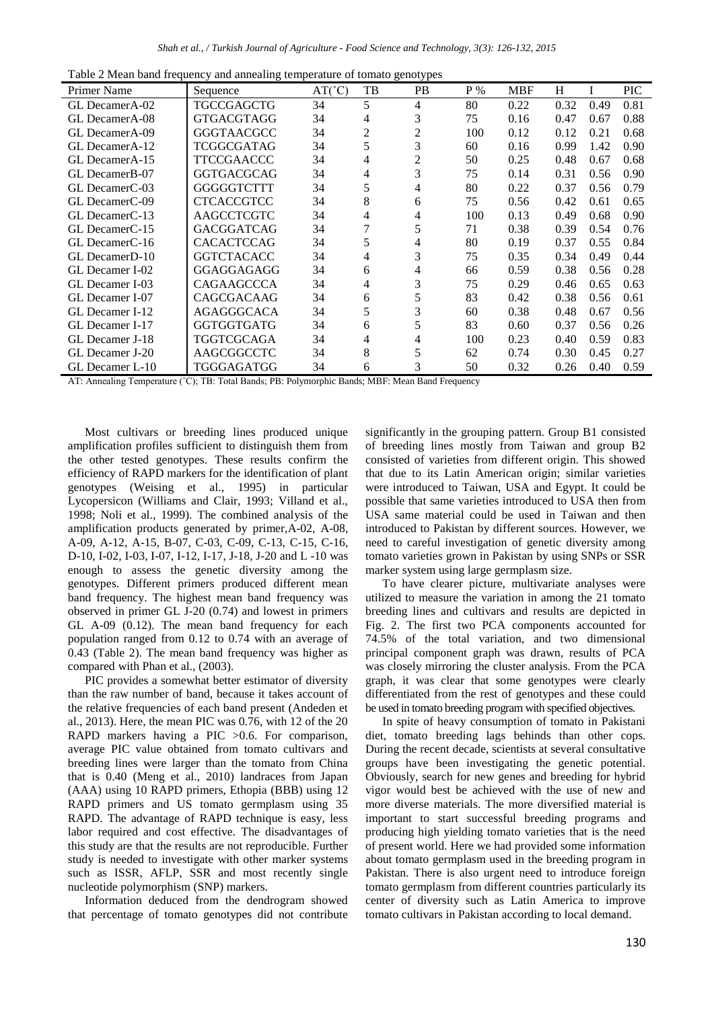|  |  | Table 2 Mean band frequency and annealing temperature of tomato genotypes |
|--|--|---------------------------------------------------------------------------|
|  |  |                                                                           |

| <b>Primer Name</b>          | Sequence          | $AT(^{\circ}C)$ | TB             | . .<br><b>PB</b> | $P\%$ | <b>MBF</b> | Н    |      | <b>PIC</b> |
|-----------------------------|-------------------|-----------------|----------------|------------------|-------|------------|------|------|------------|
| GL DecamerA-02              | <b>TGCCGAGCTG</b> | 34              | 5              | 4                | 80    | 0.22       | 0.32 | 0.49 | 0.81       |
| GL DecamerA-08              | <b>GTGACGTAGG</b> | 34              | 4              | 3                | 75    | 0.16       | 0.47 | 0.67 | 0.88       |
| GL DecamerA-09              | <b>GGGTAACGCC</b> | 34              | $\overline{c}$ | 2                | 100   | 0.12       | 0.12 | 0.21 | 0.68       |
| GL DecamerA-12              | TCGGCGATAG        | 34              | 5              | 3                | 60    | 0.16       | 0.99 | 1.42 | 0.90       |
| GL DecamerA-15              | TTCCGAACCC        | 34              | 4              | 2                | 50    | 0.25       | 0.48 | 0.67 | 0.68       |
| GL DecamerB-07              | <b>GGTGACGCAG</b> | 34              | 4              | 3                | 75    | 0.14       | 0.31 | 0.56 | 0.90       |
| GL DecamerC-03              | <b>GGGGGTCTTT</b> | 34              | 5              | 4                | 80    | 0.22       | 0.37 | 0.56 | 0.79       |
| GL DecamerC-09              | CTCACCGTCC        | 34              | 8              | 6                | 75    | 0.56       | 0.42 | 0.61 | 0.65       |
| GL DecamerC-13              | <b>AAGCCTCGTC</b> | 34              | 4              | 4                | 100   | 0.13       | 0.49 | 0.68 | 0.90       |
| GL DecamerC-15              | <b>GACGGATCAG</b> | 34              |                | 5                | 71    | 0.38       | 0.39 | 0.54 | 0.76       |
| GL DecamerC-16              | CACACTCCAG        | 34              | 5              | 4                | 80    | 0.19       | 0.37 | 0.55 | 0.84       |
| GL Decamer <sub>D</sub> -10 | <b>GGTCTACACC</b> | 34              | 4              | 3                | 75    | 0.35       | 0.34 | 0.49 | 0.44       |
| GL Decamer I-02             | GGAGGAGAGG        | 34              | 6              | 4                | 66    | 0.59       | 0.38 | 0.56 | 0.28       |
| GL Decamer I-03             | <b>CAGAAGCCCA</b> | 34              | 4              | 3                | 75    | 0.29       | 0.46 | 0.65 | 0.63       |
| GL Decamer I-07             | CAGCGACAAG        | 34              | 6              | 5                | 83    | 0.42       | 0.38 | 0.56 | 0.61       |
| GL Decamer I-12             | <b>AGAGGGCACA</b> | 34              | 5              | 3                | 60    | 0.38       | 0.48 | 0.67 | 0.56       |
| GL Decamer I-17             | <b>GGTGGTGATG</b> | 34              | 6              | 5                | 83    | 0.60       | 0.37 | 0.56 | 0.26       |
| GL Decamer J-18             | TGGTCGCAGA        | 34              | 4              | 4                | 100   | 0.23       | 0.40 | 0.59 | 0.83       |
| GL Decamer J-20             | AAGCGGCCTC        | 34              | 8              | 5                | 62    | 0.74       | 0.30 | 0.45 | 0.27       |
| GL Decamer L-10             | TGGGAGATGG        | 34              | 6              | 3                | 50    | 0.32       | 0.26 | 0.40 | 0.59       |

AT: Annealing Temperature (˚C); TB: Total Bands; PB: Polymorphic Bands; MBF: Mean Band Frequency

Most cultivars or breeding lines produced unique amplification profiles sufficient to distinguish them from the other tested genotypes. These results confirm the efficiency of RAPD markers for the identification of plant genotypes (Weising et al., 1995) in particular Lycopersicon (Williams and Clair, 1993; Villand et al., 1998; Noli et al., 1999). The combined analysis of the amplification products generated by primer,A-02, A-08, A-09, A-12, A-15, B-07, C-03, C-09, C-13, C-15, C-16, D-10, I-02, I-03, I-07, I-12, I-17, J-18, J-20 and L -10 was enough to assess the genetic diversity among the genotypes. Different primers produced different mean band frequency. The highest mean band frequency was observed in primer GL J-20 (0.74) and lowest in primers GL A-09 (0.12). The mean band frequency for each population ranged from 0.12 to 0.74 with an average of 0.43 (Table 2). The mean band frequency was higher as compared with Phan et al., (2003).

PIC provides a somewhat better estimator of diversity than the raw number of band, because it takes account of the relative frequencies of each band present (Andeden et al., 2013). Here, the mean PIC was 0.76, with 12 of the 20 RAPD markers having a PIC  $>0.6$ . For comparison, average PIC value obtained from tomato cultivars and breeding lines were larger than the tomato from China that is 0.40 (Meng et al., 2010) landraces from Japan (AAA) using 10 RAPD primers, Ethopia (BBB) using 12 RAPD primers and US tomato germplasm using 35 RAPD. The advantage of RAPD technique is easy, less labor required and cost effective. The disadvantages of this study are that the results are not reproducible. Further study is needed to investigate with other marker systems such as ISSR, AFLP, SSR and most recently single nucleotide polymorphism (SNP) markers.

Information deduced from the dendrogram showed that percentage of tomato genotypes did not contribute significantly in the grouping pattern. Group B1 consisted of breeding lines mostly from Taiwan and group B2 consisted of varieties from different origin. This showed that due to its Latin American origin; similar varieties were introduced to Taiwan, USA and Egypt. It could be possible that same varieties introduced to USA then from USA same material could be used in Taiwan and then introduced to Pakistan by different sources. However, we need to careful investigation of genetic diversity among tomato varieties grown in Pakistan by using SNPs or SSR marker system using large germplasm size.

To have clearer picture, multivariate analyses were utilized to measure the variation in among the 21 tomato breeding lines and cultivars and results are depicted in Fig. 2. The first two PCA components accounted for 74.5% of the total variation, and two dimensional principal component graph was drawn, results of PCA was closely mirroring the cluster analysis. From the PCA graph, it was clear that some genotypes were clearly differentiated from the rest of genotypes and these could be used in tomato breeding program with specified objectives.

In spite of heavy consumption of tomato in Pakistani diet, tomato breeding lags behinds than other cops. During the recent decade, scientists at several consultative groups have been investigating the genetic potential. Obviously, search for new genes and breeding for hybrid vigor would best be achieved with the use of new and more diverse materials. The more diversified material is important to start successful breeding programs and producing high yielding tomato varieties that is the need of present world. Here we had provided some information about tomato germplasm used in the breeding program in Pakistan. There is also urgent need to introduce foreign tomato germplasm from different countries particularly its center of diversity such as Latin America to improve tomato cultivars in Pakistan according to local demand.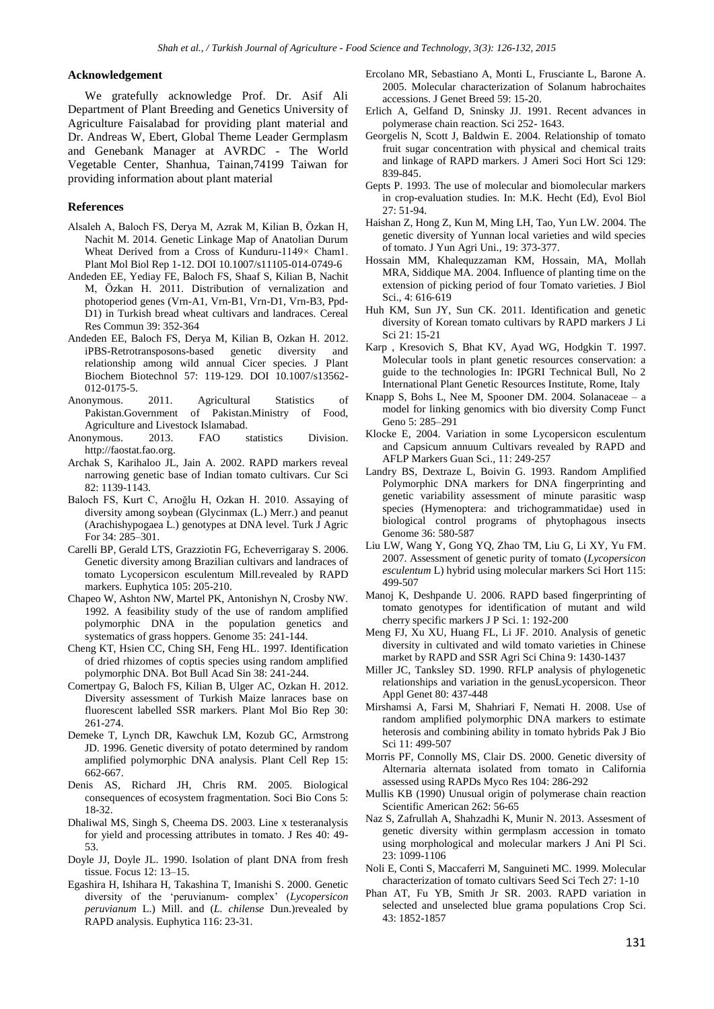#### **Acknowledgement**

We gratefully acknowledge Prof. Dr. Asif Ali Department of Plant Breeding and Genetics University of Agriculture Faisalabad for providing plant material and Dr. Andreas W, Ebert, Global Theme Leader Germplasm and Genebank Manager at AVRDC - The World Vegetable Center, Shanhua, Tainan,74199 Taiwan for providing information about plant material

#### **References**

- Alsaleh A, Baloch FS, Derya M, Azrak M, Kilian B, Özkan H, Nachit M. 2014. Genetic Linkage Map of Anatolian Durum Wheat Derived from a Cross of Kunduru-1149× Cham1. Plant Mol Biol Rep 1-12. DOI 10.1007/s11105-014-0749-6
- Andeden EE, Yediay FE, Baloch FS, Shaaf S, Kilian B, Nachit M, Özkan H. 2011. Distribution of vernalization and photoperiod genes (Vrn-A1, Vrn-B1, Vrn-D1, Vrn-B3, Ppd-D1) in Turkish bread wheat cultivars and landraces. Cereal Res Commun 39: 352-364
- Andeden EE, Baloch FS, Derya M, Kilian B, Ozkan H. 2012. iPBS-Retrotransposons-based genetic diversity and relationship among wild annual Cicer species. J Plant Biochem Biotechnol 57: 119-129. DOI 10.1007/s13562- 012-0175-5.
- Anonymous. 2011. Agricultural Statistics of Pakistan.Government of Pakistan.Ministry of Food, Agriculture and Livestock Islamabad.
- Anonymous. 2013. FAO statistics Division. http://faostat.fao.org.
- Archak S, Karihaloo JL, Jain A. 2002. RAPD markers reveal narrowing genetic base of Indian tomato cultivars. Cur Sci 82: 1139-1143.
- Baloch FS, Kurt C, Arıoğlu H, Ozkan H. 2010. Assaying of diversity among soybean (Glycinmax (L.) Merr.) and peanut (Arachishypogaea L.) genotypes at DNA level. Turk J Agric For 34: 285–301.
- Carelli BP, Gerald LTS, Grazziotin FG, Echeverrigaray S. 2006. Genetic diversity among Brazilian cultivars and landraces of tomato Lycopersicon esculentum Mill.revealed by RAPD markers. Euphytica 105: 205-210.
- Chapeo W, Ashton NW, Martel PK, Antonishyn N, Crosby NW. 1992. A feasibility study of the use of random amplified polymorphic DNA in the population genetics and systematics of grass hoppers. Genome 35: 241-144.
- Cheng KT, Hsien CC, Ching SH, Feng HL. 1997. Identification of dried rhizomes of coptis species using random amplified polymorphic DNA. Bot Bull Acad Sin 38: 241-244.
- Comertpay G, Baloch FS, Kilian B, Ulger AC, Ozkan H. 2012. Diversity assessment of Turkish Maize lanraces base on fluorescent labelled SSR markers. Plant Mol Bio Rep 30: 261-274.
- Demeke T, Lynch DR, Kawchuk LM, Kozub GC, Armstrong JD. 1996. Genetic diversity of potato determined by random amplified polymorphic DNA analysis. Plant Cell Rep 15: 662-667.
- Denis AS, Richard JH, Chris RM. 2005. Biological consequences of ecosystem fragmentation. Soci Bio Cons 5: 18-32.
- Dhaliwal MS, Singh S, Cheema DS. 2003. Line x testeranalysis for yield and processing attributes in tomato. J Res 40: 49- 53.
- Doyle JJ, Doyle JL. 1990. Isolation of plant DNA from fresh tissue. Focus 12: 13–15.
- Egashira H, Ishihara H, Takashina T, Imanishi S. 2000. Genetic diversity of the 'peruvianum- complex' (*Lycopersicon peruvianum* L.) Mill. and (*L. chilense* Dun.)revealed by RAPD analysis. Euphytica 116: 23-31.
- Ercolano MR, Sebastiano A, Monti L, Frusciante L, Barone A. 2005. Molecular characterization of Solanum habrochaites accessions. J Genet Breed 59: 15-20.
- Erlich A, Gelfand D, Sninsky JJ. 1991. Recent advances in polymerase chain reaction. Sci 252- 1643.
- Georgelis N, Scott J, Baldwin E. 2004. Relationship of tomato fruit sugar concentration with physical and chemical traits and linkage of RAPD markers. J Ameri Soci Hort Sci 129: 839-845.
- Gepts P. 1993. The use of molecular and biomolecular markers in crop-evaluation studies. In: M.K. Hecht (Ed), Evol Biol 27: 51-94.
- Haishan Z, Hong Z, Kun M, Ming LH, Tao, Yun LW. 2004. The genetic diversity of Yunnan local varieties and wild species of tomato. J Yun Agri Uni., 19: 373-377.
- Hossain MM, Khalequzzaman KM, Hossain, MA, Mollah MRA, Siddique MA. 2004. Influence of planting time on the extension of picking period of four Tomato varieties. J Biol Sci., 4: 616‐619
- Huh KM, Sun JY, Sun CK. 2011. Identification and genetic diversity of Korean tomato cultivars by RAPD markers J Li Sci 21: 15-21
- Karp , Kresovich S, Bhat KV, Ayad WG, Hodgkin T. 1997. Molecular tools in plant genetic resources conservation: a guide to the technologies In: IPGRI Technical Bull, No 2 International Plant Genetic Resources Institute, Rome, Italy
- Knapp S, Bohs L, Nee M, Spooner DM. 2004. Solanaceae a model for linking genomics with bio diversity Comp Funct Geno 5: 285–291
- Klocke E, 2004. Variation in some Lycopersicon esculentum and Capsicum annuum Cultivars revealed by RAPD and AFLP Markers Guan Sci., 11: 249-257
- Landry BS, Dextraze L, Boivin G. 1993. Random Amplified Polymorphic DNA markers for DNA fingerprinting and genetic variability assessment of minute parasitic wasp species (Hymenoptera: and trichogrammatidae) used in biological control programs of phytophagous insects Genome 36: 580-587
- Liu LW, Wang Y, Gong YQ, Zhao TM, Liu G, Li XY, Yu FM. 2007. Assessment of genetic purity of tomato (*Lycopersicon esculentum* L) hybrid using molecular markers Sci Hort 115: 499-507
- Manoj K, Deshpande U. 2006. RAPD based fingerprinting of tomato genotypes for identification of mutant and wild cherry specific markers J P Sci. 1: 192-200
- Meng FJ, Xu XU, Huang FL, Li JF. 2010. Analysis of genetic diversity in cultivated and wild tomato varieties in Chinese market by RAPD and SSR Agri Sci China 9: 1430-1437
- Miller JC, Tanksley SD. 1990. RFLP analysis of phylogenetic relationships and variation in the genusLycopersicon. Theor Appl Genet 80: 437-448
- Mirshamsi A, Farsi M, Shahriari F, Nemati H. 2008. Use of random amplified polymorphic DNA markers to estimate heterosis and combining ability in tomato hybrids Pak J Bio Sci 11: 499-507
- Morris PF, Connolly MS, Clair DS. 2000. Genetic diversity of Alternaria alternata isolated from tomato in California assessed using RAPDs Myco Res 104: 286-292
- Mullis KB (1990) Unusual origin of polymerase chain reaction Scientific American 262: 56-65
- Naz S, Zafrullah A, Shahzadhi K, Munir N. 2013. Assesment of genetic diversity within germplasm accession in tomato using morphological and molecular markers J Ani Pl Sci. 23: 1099-1106
- Noli E, Conti S, Maccaferri M, Sanguineti MC. 1999. Molecular characterization of tomato cultivars Seed Sci Tech 27: 1-10
- Phan AT, Fu YB, Smith Jr SR. 2003. RAPD variation in selected and unselected blue grama populations Crop Sci. 43: 1852-1857